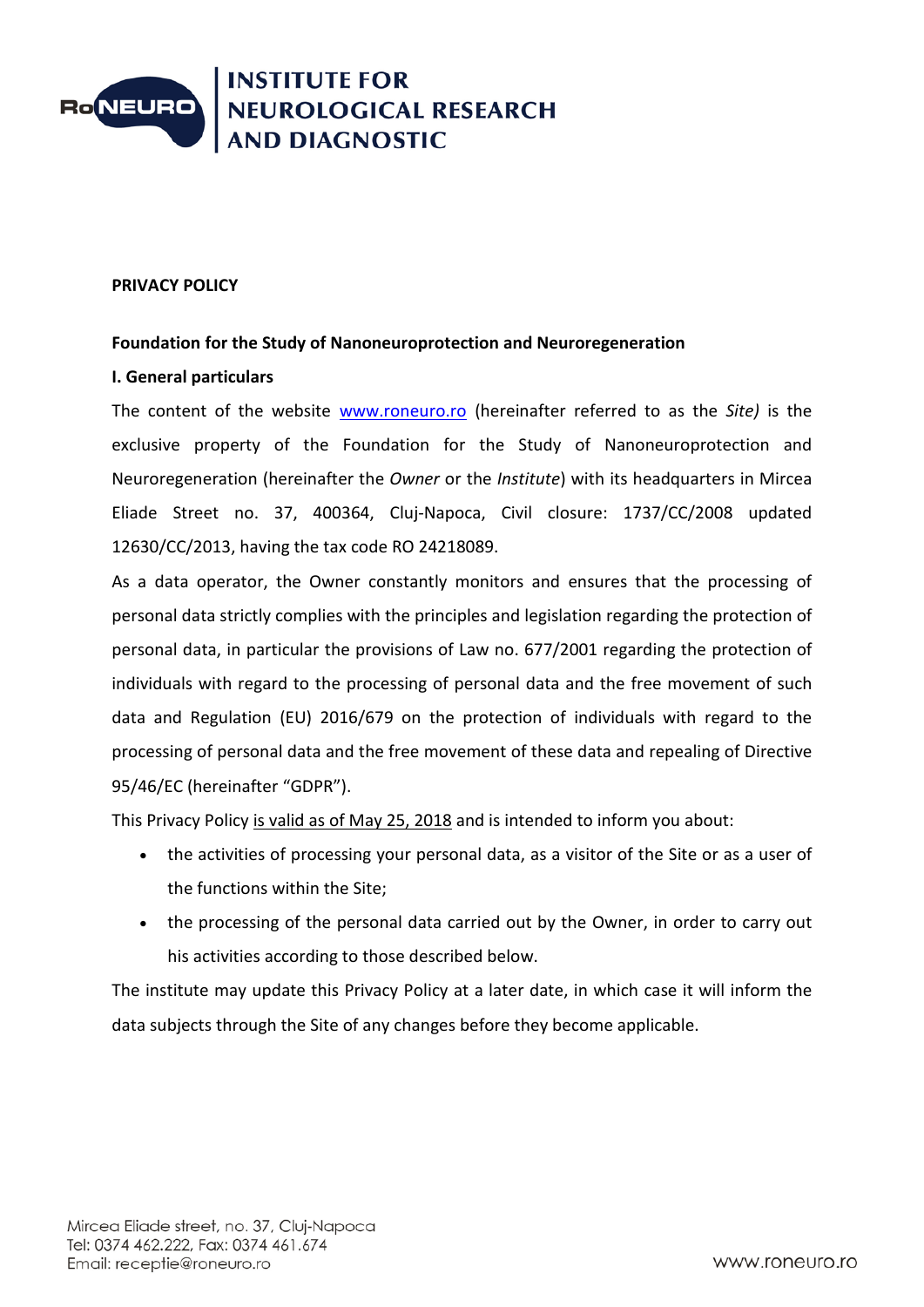

#### **PRIVACY POLICY**

#### **[Foundation](https://www.synevo.ro/) for the Study of Nanoneuroprotection and Neuroregeneration**

#### **I. General particulars**

The content of the website [www.roneuro.ro](http://www.roneuro.ro/) (hereinafter referred to as the *Site)* is the exclusive property of the Foundation for the Study of Nanoneuroprotection and Neuroregeneration (hereinafter the *Owner* or the *Institute*) with its headquarters in Mircea Eliade Street no. 37, 400364, Cluj-Napoca, Civil closure: 1737/CC/2008 updated 12630/CC/2013, having the tax code RO 24218089.

As a data operator, the Owner constantly monitors and ensures that the processing of personal data strictly complies with the principles and legislation regarding the protection of personal data, in particular the provisions of Law no. 677/2001 regarding the protection of individuals with regard to the processing of personal data and the free movement of such data and Regulation (EU) 2016/679 on the protection of individuals with regard to the processing of personal data and the free movement of these data and repealing of Directive 95/46/EC (hereinafter "GDPR").

This Privacy Policy is valid as of May 25, 2018 and is intended to inform you about:

- the activities of processing your personal data, as a visitor of the Site or as a user of the functions within the Site;
- the processing of the personal data carried out by the Owner, in order to carry out his activities according to those described below.

The institute may update this Privacy Policy at a later date, in which case it will inform the data subjects through the Site of any changes before they become applicable.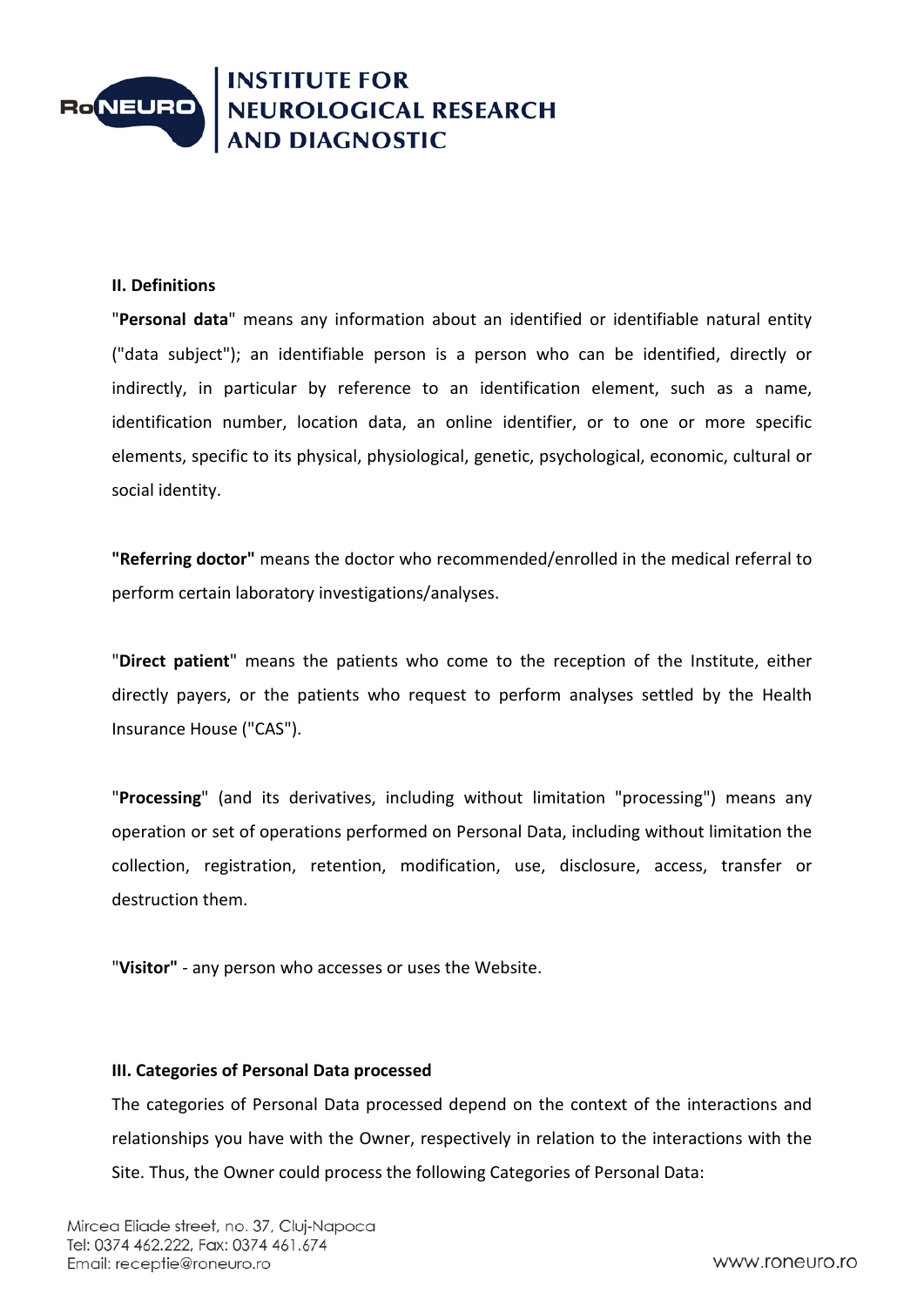

#### **II. Definitions**

"**Personal data**" means any information about an identified or identifiable natural entity ("data subject"); an identifiable person is a person who can be identified, directly or indirectly, in particular by reference to an identification element, such as a name, identification number, location data, an online identifier, or to one or more specific elements, specific to its physical, physiological, genetic, psychological, economic, cultural or social identity.

**"Referring doctor"** means the doctor who recommended/enrolled in the medical referral to perform certain laboratory investigations/analyses.

"**Direct patient**" means the patients who come to the reception of the Institute, either directly payers, or the patients who request to perform analyses settled by the Health Insurance House ("CAS").

"**Processing**" (and its derivatives, including without limitation "processing") means any operation or set of operations performed on Personal Data, including without limitation the collection, registration, retention, modification, use, disclosure, access, transfer or destruction them.

"**Visitor"** - any person who accesses or uses the Website.

#### **III. Categories of Personal Data processed**

The categories of Personal Data processed depend on the context of the interactions and relationships you have with the Owner, respectively in relation to the interactions with the Site. Thus, the Owner could process the following Categories of Personal Data: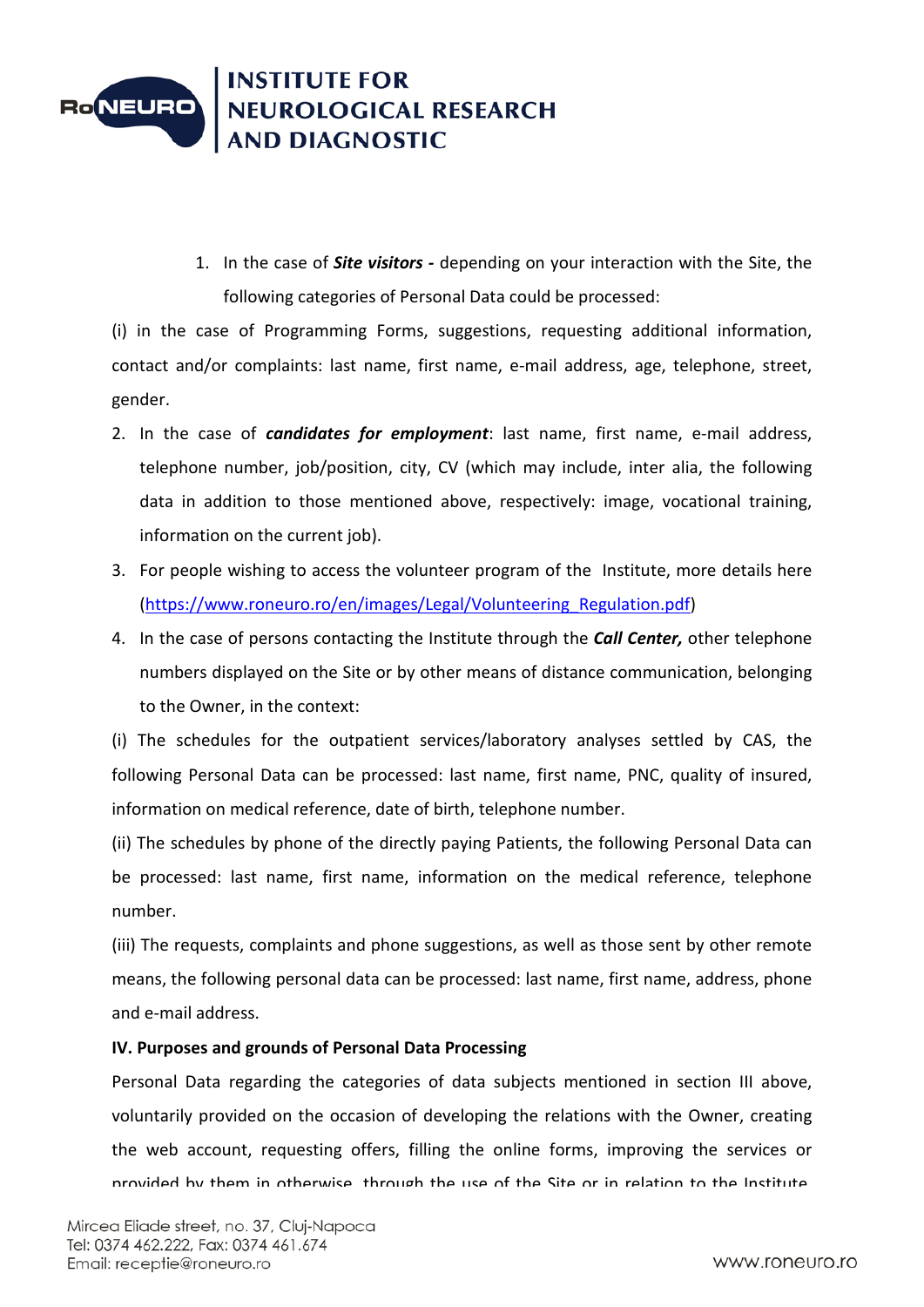

1. In the case of *Site visitors -* depending on your interaction with the Site, the following categories of Personal Data could be processed:

(i) in the case of Programming Forms, suggestions, requesting additional information, contact and/or complaints: last name, first name, e-mail address, age, telephone, street, gender.

- 2. In the case of *candidates for employment*: last name, first name, e-mail address, telephone number, job/position, city, CV (which may include, inter alia, the following data in addition to those mentioned above, respectively: image, vocational training, information on the current job).
- 3. For people wishing to access the volunteer program of the Institute, more details here [\(https://www.roneuro.ro/en/images/Legal/Volunteering\\_Regulation.pdf\)](https://www.roneuro.ro/en/images/Legal/Volunteering_Regulation.pdf)
- 4. In the case of persons contacting the Institute through the *Call Center,* other telephone numbers displayed on the Site or by other means of distance communication, belonging to the Owner, in the context:

(i) The schedules for the outpatient services/laboratory analyses settled by CAS, the following Personal Data can be processed: last name, first name, PNC, quality of insured, information on medical reference, date of birth, telephone number.

(ii) The schedules by phone of the directly paying Patients, the following Personal Data can be processed: last name, first name, information on the medical reference, telephone number.

(iii) The requests, complaints and phone suggestions, as well as those sent by other remote means, the following personal data can be processed: last name, first name, address, phone and e-mail address.

# **IV. Purposes and grounds of Personal Data Processing**

Personal Data regarding the categories of data subjects mentioned in section III above, voluntarily provided on the occasion of developing the relations with the Owner, creating the web account, requesting offers, filling the online forms, improving the services or provided by them in otherwise, through the use of the Site or in relation to the Institute,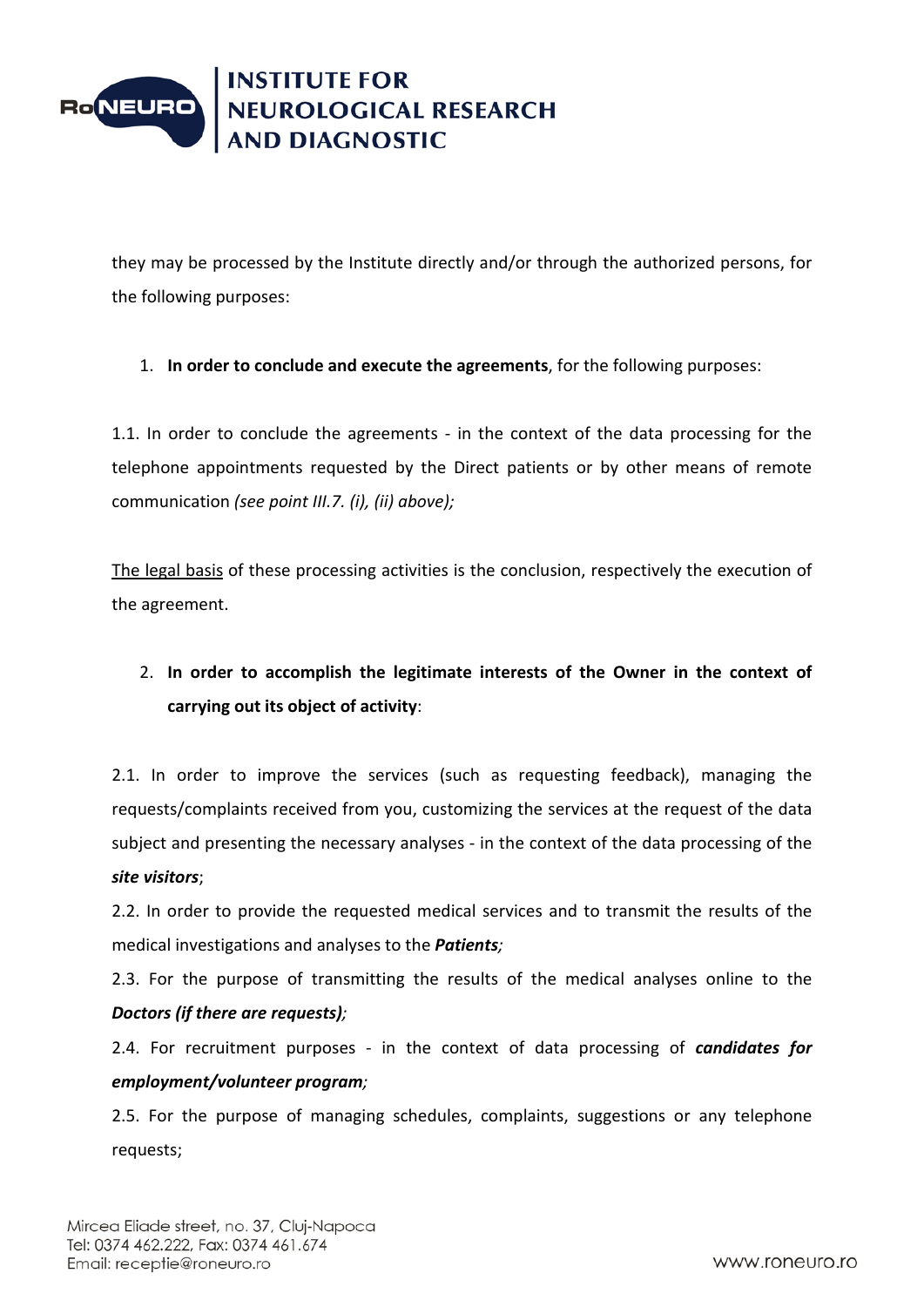

they may be processed by the Institute directly and/or through the authorized persons, for the following purposes:

# 1. **In order to conclude and execute the agreements**, for the following purposes:

1.1. In order to conclude the agreements - in the context of the data processing for the telephone appointments requested by the Direct patients or by other means of remote communication *(see point III.7. (i), (ii) above);*

The legal basis of these processing activities is the conclusion, respectively the execution of the agreement.

# 2. **In order to accomplish the legitimate interests of the Owner in the context of carrying out its object of activity**:

2.1. In order to improve the services (such as requesting feedback), managing the requests/complaints received from you, customizing the services at the request of the data subject and presenting the necessary analyses - in the context of the data processing of the *site visitors*;

2.2. In order to provide the requested medical services and to transmit the results of the medical investigations and analyses to the *Patients;*

2.3. For the purpose of transmitting the results of the medical analyses online to the *Doctors (if there are requests);*

2.4. For recruitment purposes - in the context of data processing of *candidates for employment/volunteer program;*

2.5. For the purpose of managing schedules, complaints, suggestions or any telephone requests;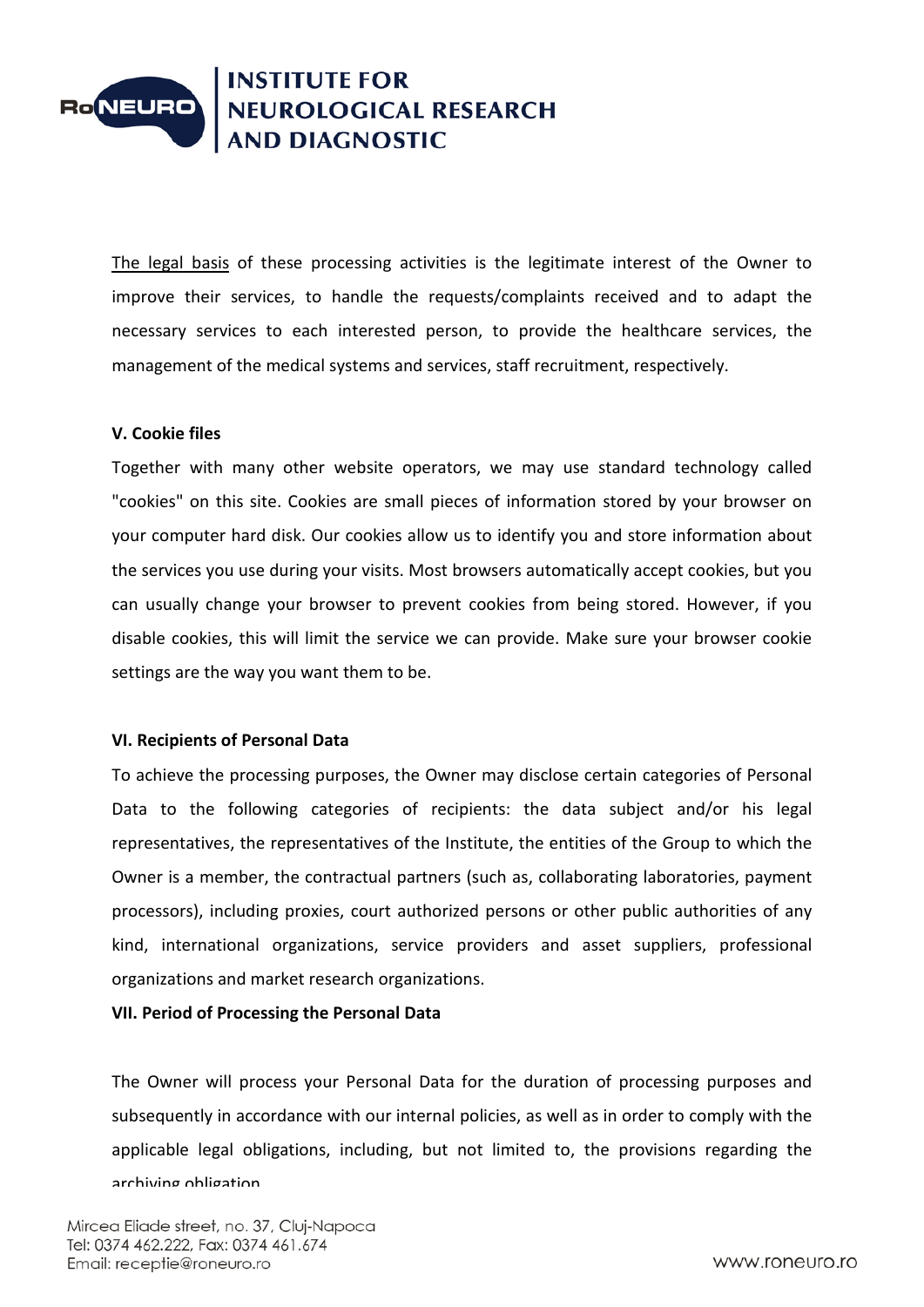

The legal basis of these processing activities is the legitimate interest of the Owner to improve their services, to handle the requests/complaints received and to adapt the necessary services to each interested person, to provide the healthcare services, the management of the medical systems and services, staff recruitment, respectively.

## **V. Cookie files**

Together with many other website operators, we may use standard technology called "cookies" on this site. Cookies are small pieces of information stored by your browser on your computer hard disk. Our cookies allow us to identify you and store information about the services you use during your visits. Most browsers automatically accept cookies, but you can usually change your browser to prevent cookies from being stored. However, if you disable cookies, this will limit the service we can provide. Make sure your browser cookie settings are the way you want them to be.

#### **VI. Recipients of Personal Data**

To achieve the processing purposes, the Owner may disclose certain categories of Personal Data to the following categories of recipients: the data subject and/or his legal representatives, the representatives of the Institute, the entities of the Group to which the Owner is a member, the contractual partners (such as, collaborating laboratories, payment processors), including proxies, court authorized persons or other public authorities of any kind, international organizations, service providers and asset suppliers, professional organizations and market research organizations.

#### **VII. Period of Processing the Personal Data**

The Owner will process your Personal Data for the duration of processing purposes and subsequently in accordance with our internal policies, as well as in order to comply with the applicable legal obligations, including, but not limited to, the provisions regarding the archiving obligation.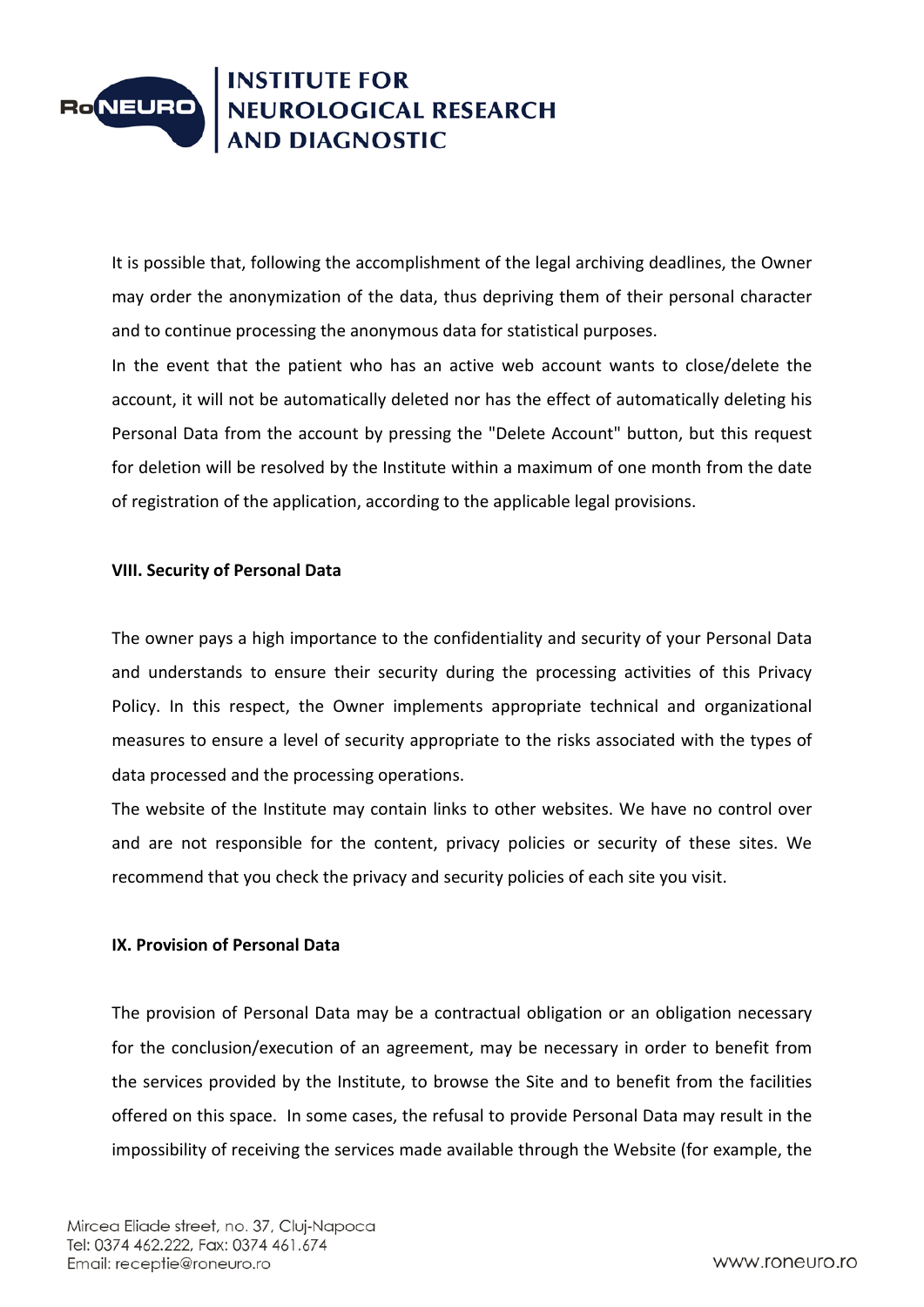

It is possible that, following the accomplishment of the legal archiving deadlines, the Owner may order the anonymization of the data, thus depriving them of their personal character and to continue processing the anonymous data for statistical purposes.

In the event that the patient who has an active web account wants to close/delete the account, it will not be automatically deleted nor has the effect of automatically deleting his Personal Data from the account by pressing the "Delete Account" button, but this request for deletion will be resolved by the Institute within a maximum of one month from the date of registration of the application, according to the applicable legal provisions.

## **VIII. Security of Personal Data**

The owner pays a high importance to the confidentiality and security of your Personal Data and understands to ensure their security during the processing activities of this Privacy Policy. In this respect, the Owner implements appropriate technical and organizational measures to ensure a level of security appropriate to the risks associated with the types of data processed and the processing operations.

The website of the Institute may contain links to other websites. We have no control over and are not responsible for the content, privacy policies or security of these sites. We recommend that you check the privacy and security policies of each site you visit.

## **IX. Provision of Personal Data**

The provision of Personal Data may be a contractual obligation or an obligation necessary for the conclusion/execution of an agreement, may be necessary in order to benefit from the services provided by the Institute, to browse the Site and to benefit from the facilities offered on this space. In some cases, the refusal to provide Personal Data may result in the impossibility of receiving the services made available through the Website (for example, the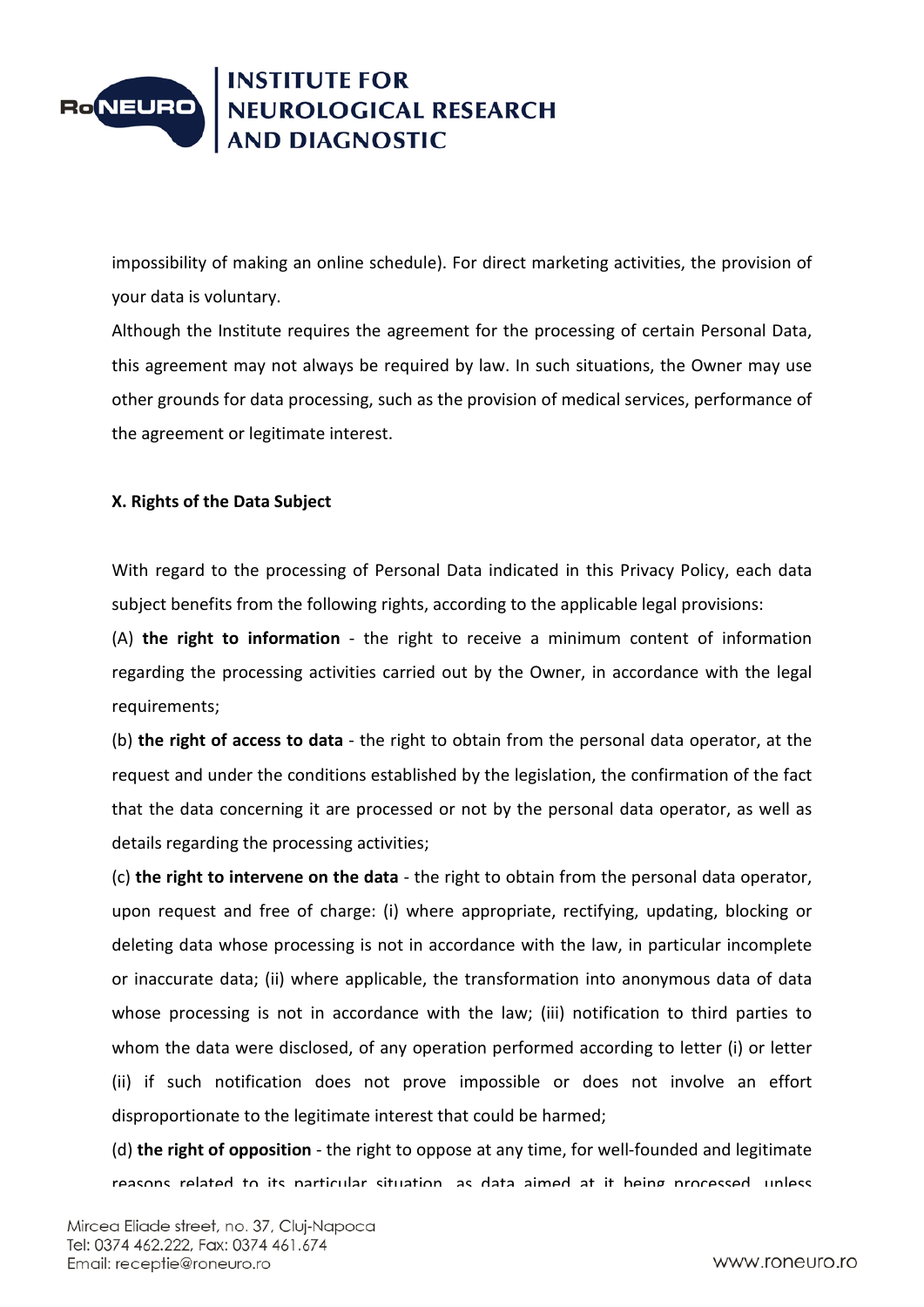

impossibility of making an online schedule). For direct marketing activities, the provision of your data is voluntary.

Although the Institute requires the agreement for the processing of certain Personal Data, this agreement may not always be required by law. In such situations, the Owner may use other grounds for data processing, such as the provision of medical services, performance of the agreement or legitimate interest.

## **X. Rights of the Data Subject**

With regard to the processing of Personal Data indicated in this Privacy Policy, each data subject benefits from the following rights, according to the applicable legal provisions:

(A) **the right to information** - the right to receive a minimum content of information regarding the processing activities carried out by the Owner, in accordance with the legal requirements;

(b) **the right of access to data** - the right to obtain from the personal data operator, at the request and under the conditions established by the legislation, the confirmation of the fact that the data concerning it are processed or not by the personal data operator, as well as details regarding the processing activities;

(c) **the right to intervene on the data** - the right to obtain from the personal data operator, upon request and free of charge: (i) where appropriate, rectifying, updating, blocking or deleting data whose processing is not in accordance with the law, in particular incomplete or inaccurate data; (ii) where applicable, the transformation into anonymous data of data whose processing is not in accordance with the law; (iii) notification to third parties to whom the data were disclosed, of any operation performed according to letter (i) or letter (ii) if such notification does not prove impossible or does not involve an effort disproportionate to the legitimate interest that could be harmed;

(d) **the right of opposition** - the right to oppose at any time, for well-founded and legitimate reasons related to its particular situation, as data aimed at it being processed, unless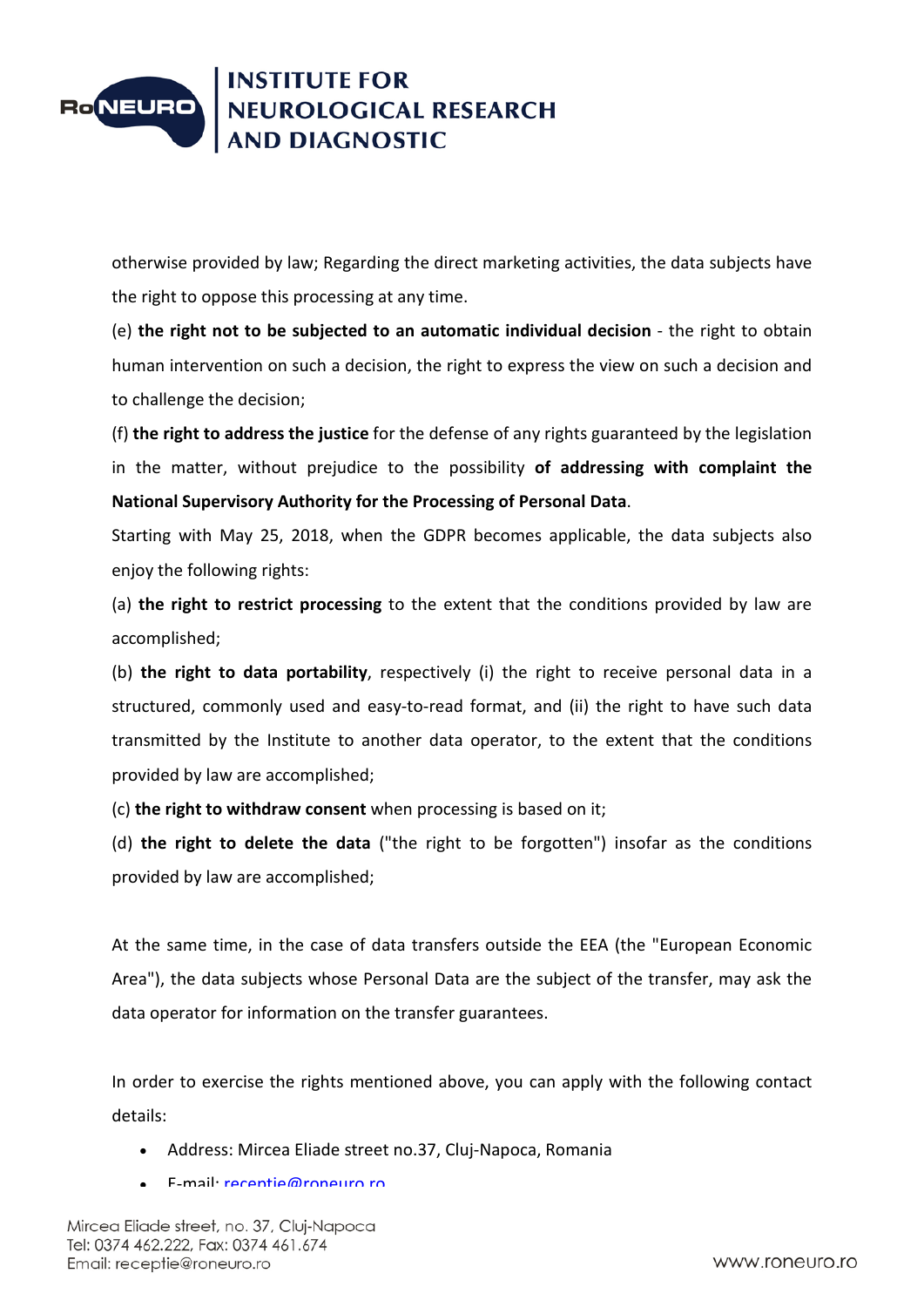

otherwise provided by law; Regarding the direct marketing activities, the data subjects have the right to oppose this processing at any time.

(e) **the right not to be subjected to an automatic individual decision** - the right to obtain human intervention on such a decision, the right to express the view on such a decision and to challenge the decision;

(f) **the right to address the justice** for the defense of any rights guaranteed by the legislation in the matter, without prejudice to the possibility **of addressing with complaint the National Supervisory Authority for the Processing of Personal Data**.

Starting with May 25, 2018, when the GDPR becomes applicable, the data subjects also enjoy the following rights:

(a) **the right to restrict processing** to the extent that the conditions provided by law are accomplished;

(b) **the right to data portability**, respectively (i) the right to receive personal data in a structured, commonly used and easy-to-read format, and (ii) the right to have such data transmitted by the Institute to another data operator, to the extent that the conditions provided by law are accomplished;

(c) **the right to withdraw consent** when processing is based on it;

(d) **the right to delete the data** ("the right to be forgotten") insofar as the conditions provided by law are accomplished;

At the same time, in the case of data transfers outside the EEA (the "European Economic Area"), the data subjects whose Personal Data are the subject of the transfer, may ask the data operator for information on the transfer guarantees.

In order to exercise the rights mentioned above, you can apply with the following contact details:

- Address: Mircea Eliade street no.37, Cluj-Napoca, Romania
- E-mail: [receptie@roneuro.ro](mailto:receptie@roneuro.ro)